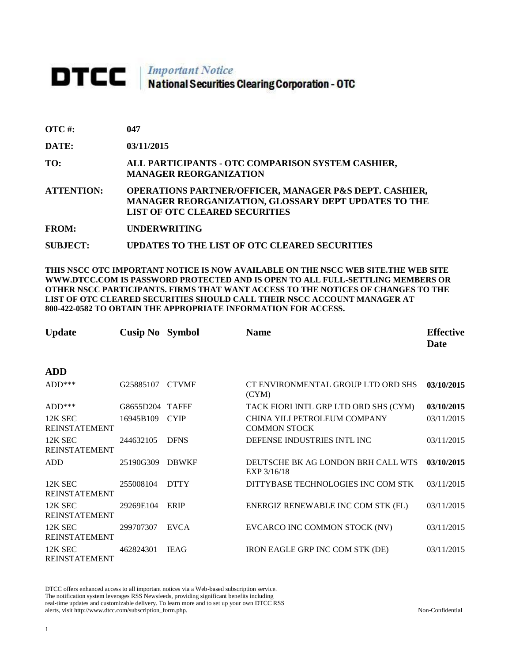# DTCC | Important Notice<br>National Securities Clearing Corporation - OTC

| <b>OTC#:</b> | 047 |
|--------------|-----|
|--------------|-----|

**DATE: 03/11/2015**

**TO: ALL PARTICIPANTS - OTC COMPARISON SYSTEM CASHIER, MANAGER REORGANIZATION** 

**ATTENTION: OPERATIONS PARTNER/OFFICER, MANAGER P&S DEPT. CASHIER, MANAGER REORGANIZATION, GLOSSARY DEPT UPDATES TO THE LIST OF OTC CLEARED SECURITIES** 

**FROM: UNDERWRITING**

**SUBJECT: UPDATES TO THE LIST OF OTC CLEARED SECURITIES**

**THIS NSCC OTC IMPORTANT NOTICE IS NOW AVAILABLE ON THE NSCC WEB SITE.THE WEB SITE WWW.DTCC.COM IS PASSWORD PROTECTED AND IS OPEN TO ALL FULL-SETTLING MEMBERS OR OTHER NSCC PARTICIPANTS. FIRMS THAT WANT ACCESS TO THE NOTICES OF CHANGES TO THE LIST OF OTC CLEARED SECURITIES SHOULD CALL THEIR NSCC ACCOUNT MANAGER AT 800-422-0582 TO OBTAIN THE APPROPRIATE INFORMATION FOR ACCESS.** 

| <b>Update</b>                   | <b>Cusip No</b> Symbol |              | <b>Name</b>                                         | <b>Effective</b><br>Date |
|---------------------------------|------------------------|--------------|-----------------------------------------------------|--------------------------|
| <b>ADD</b>                      |                        |              |                                                     |                          |
| $ADD***$                        | G25885107              | <b>CTVMF</b> | CT ENVIRONMENTAL GROUP LTD ORD SHS<br>(CYM)         | 03/10/2015               |
| $ADD***$                        | G8655D204 TAFFF        |              | TACK FIORI INTL GRP LTD ORD SHS (CYM)               | 03/10/2015               |
| 12K SEC<br><b>REINSTATEMENT</b> | 16945B109              | <b>CYIP</b>  | CHINA YILI PETROLEUM COMPANY<br><b>COMMON STOCK</b> | 03/11/2015               |
| 12K SEC<br><b>REINSTATEMENT</b> | 244632105              | <b>DFNS</b>  | DEFENSE INDUSTRIES INTL INC                         | 03/11/2015               |
| <b>ADD</b>                      | 25190G309              | <b>DBWKF</b> | DEUTSCHE BK AG LONDON BRH CALL WTS<br>EXP 3/16/18   | 03/10/2015               |
| 12K SEC<br><b>REINSTATEMENT</b> | 255008104              | <b>DTTY</b>  | DITTYBASE TECHNOLOGIES INC COM STK                  | 03/11/2015               |
| 12K SEC<br><b>REINSTATEMENT</b> | 29269E104              | ERIP         | ENERGIZ RENEWABLE INC COM STK (FL)                  | 03/11/2015               |
| 12K SEC<br><b>REINSTATEMENT</b> | 299707307              | <b>EVCA</b>  | EVCARCO INC COMMON STOCK (NV)                       | 03/11/2015               |
| 12K SEC<br><b>REINSTATEMENT</b> | 462824301              | <b>IEAG</b>  | <b>IRON EAGLE GRP INC COM STK (DE)</b>              | 03/11/2015               |

DTCC offers enhanced access to all important notices via a Web-based subscription service. The notification system leverages RSS Newsfeeds, providing significant benefits including real-time updates and customizable delivery. To learn more and to set up your own DTCC RSS alerts, visit http://www.dtcc.com/subscription\_form.php. Non-Confidential